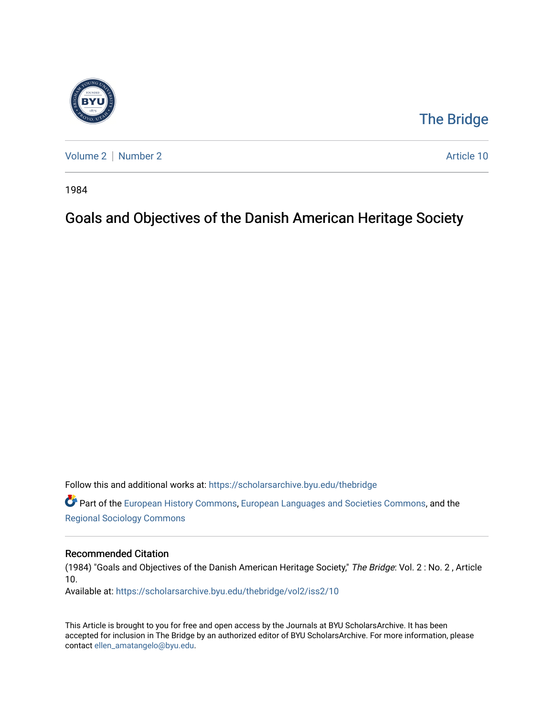

## [The Bridge](https://scholarsarchive.byu.edu/thebridge)

[Volume 2](https://scholarsarchive.byu.edu/thebridge/vol2) | [Number 2](https://scholarsarchive.byu.edu/thebridge/vol2/iss2) Article 10

1984

## Goals and Objectives of the Danish American Heritage Society

Follow this and additional works at: [https://scholarsarchive.byu.edu/thebridge](https://scholarsarchive.byu.edu/thebridge?utm_source=scholarsarchive.byu.edu%2Fthebridge%2Fvol2%2Fiss2%2F10&utm_medium=PDF&utm_campaign=PDFCoverPages) 

**C** Part of the [European History Commons](http://network.bepress.com/hgg/discipline/492?utm_source=scholarsarchive.byu.edu%2Fthebridge%2Fvol2%2Fiss2%2F10&utm_medium=PDF&utm_campaign=PDFCoverPages), [European Languages and Societies Commons,](http://network.bepress.com/hgg/discipline/482?utm_source=scholarsarchive.byu.edu%2Fthebridge%2Fvol2%2Fiss2%2F10&utm_medium=PDF&utm_campaign=PDFCoverPages) and the [Regional Sociology Commons](http://network.bepress.com/hgg/discipline/427?utm_source=scholarsarchive.byu.edu%2Fthebridge%2Fvol2%2Fiss2%2F10&utm_medium=PDF&utm_campaign=PDFCoverPages) 

## Recommended Citation

(1984) "Goals and Objectives of the Danish American Heritage Society," The Bridge: Vol. 2 : No. 2 , Article 10.

Available at: [https://scholarsarchive.byu.edu/thebridge/vol2/iss2/10](https://scholarsarchive.byu.edu/thebridge/vol2/iss2/10?utm_source=scholarsarchive.byu.edu%2Fthebridge%2Fvol2%2Fiss2%2F10&utm_medium=PDF&utm_campaign=PDFCoverPages) 

This Article is brought to you for free and open access by the Journals at BYU ScholarsArchive. It has been accepted for inclusion in The Bridge by an authorized editor of BYU ScholarsArchive. For more information, please contact [ellen\\_amatangelo@byu.edu.](mailto:ellen_amatangelo@byu.edu)